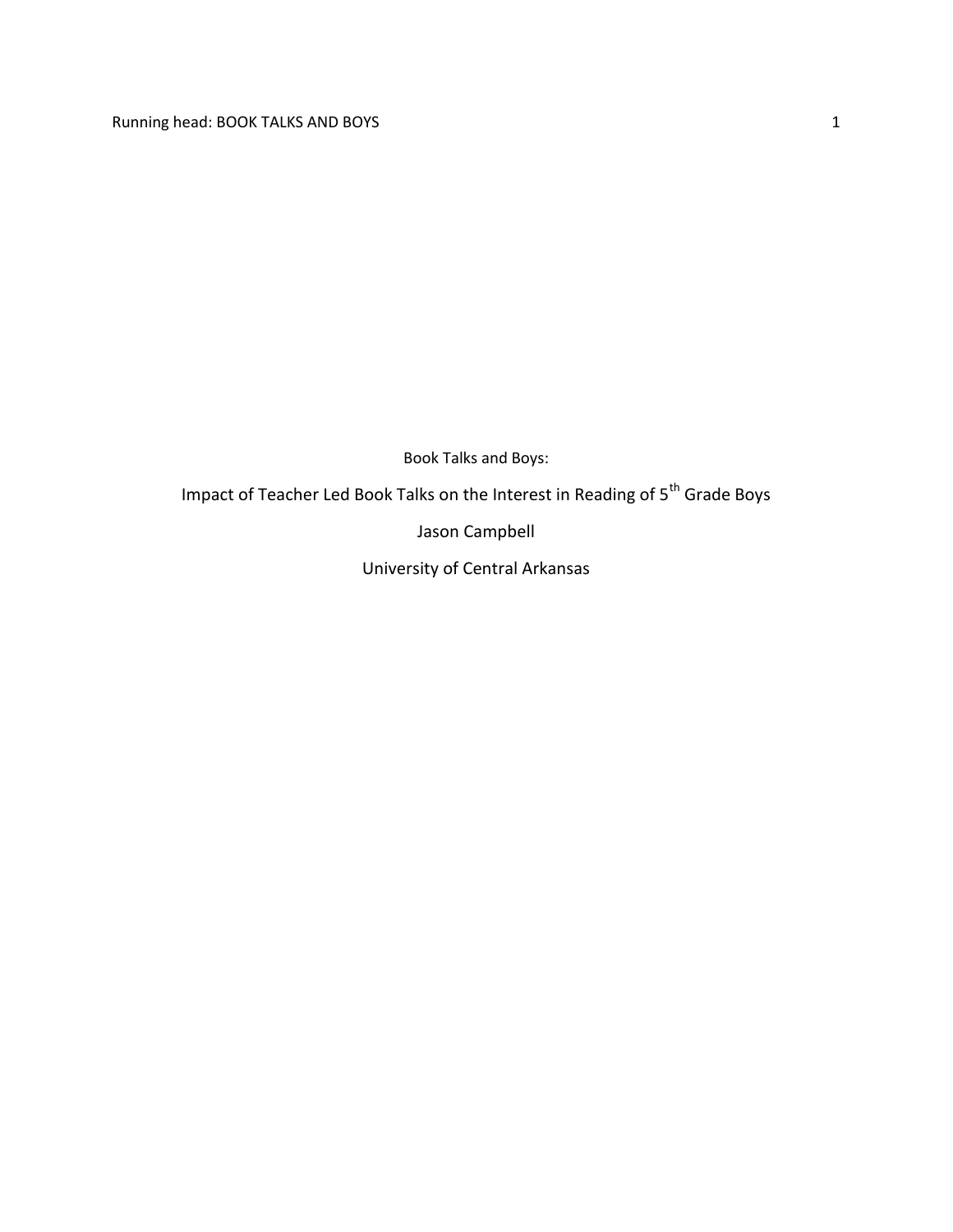Book Talks and Boys:

Impact of Teacher Led Book Talks on the Interest in Reading of  $5^{th}$  Grade Boys

Jason Campbell

University of Central Arkansas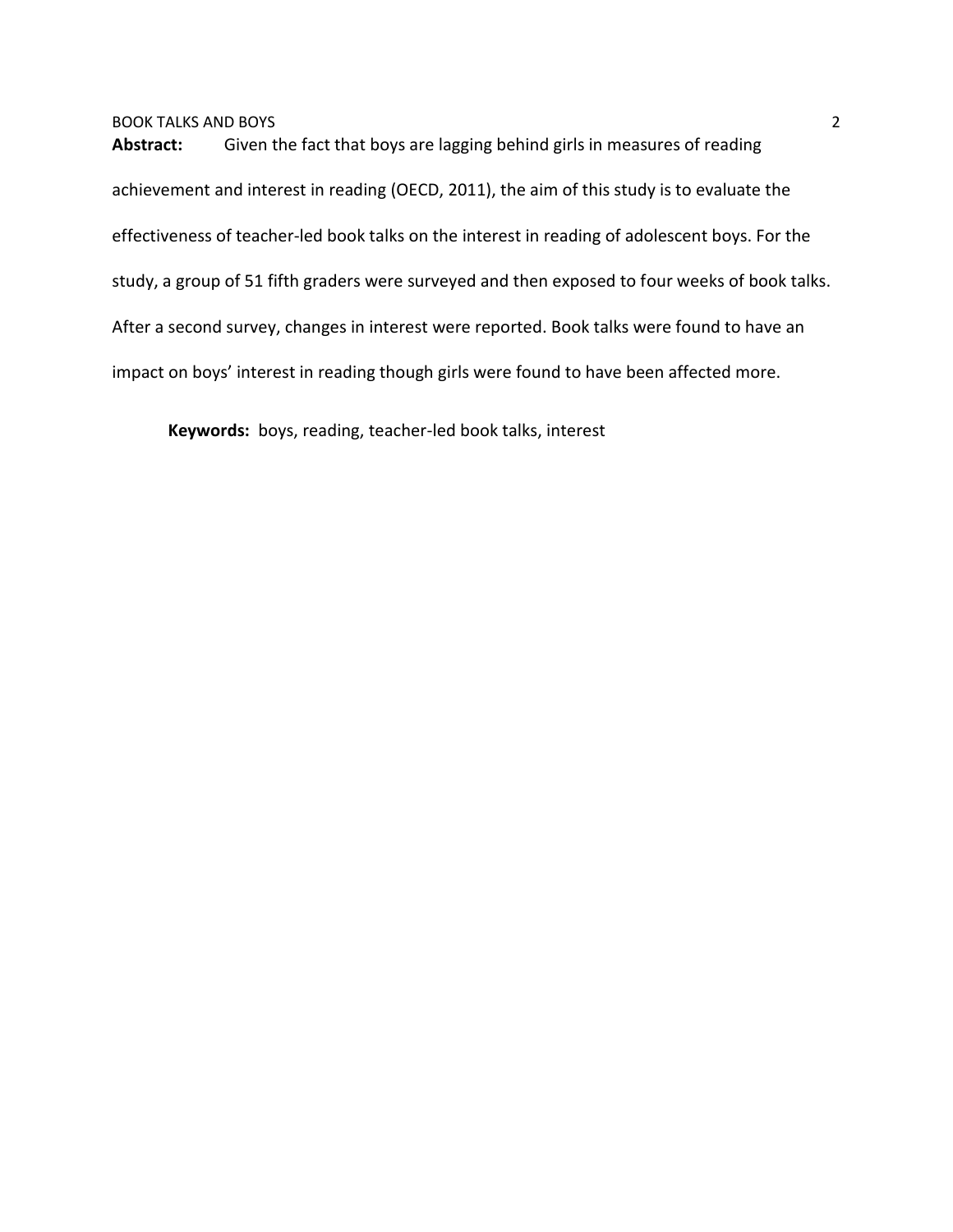**Abstract:** Given the fact that boys are lagging behind girls in measures of reading achievement and interest in reading (OECD, 2011), the aim of this study is to evaluate the effectiveness of teacher-led book talks on the interest in reading of adolescent boys. For the study, a group of 51 fifth graders were surveyed and then exposed to four weeks of book talks. After a second survey, changes in interest were reported. Book talks were found to have an impact on boys' interest in reading though girls were found to have been affected more.

**Keywords:** boys, reading, teacher-led book talks, interest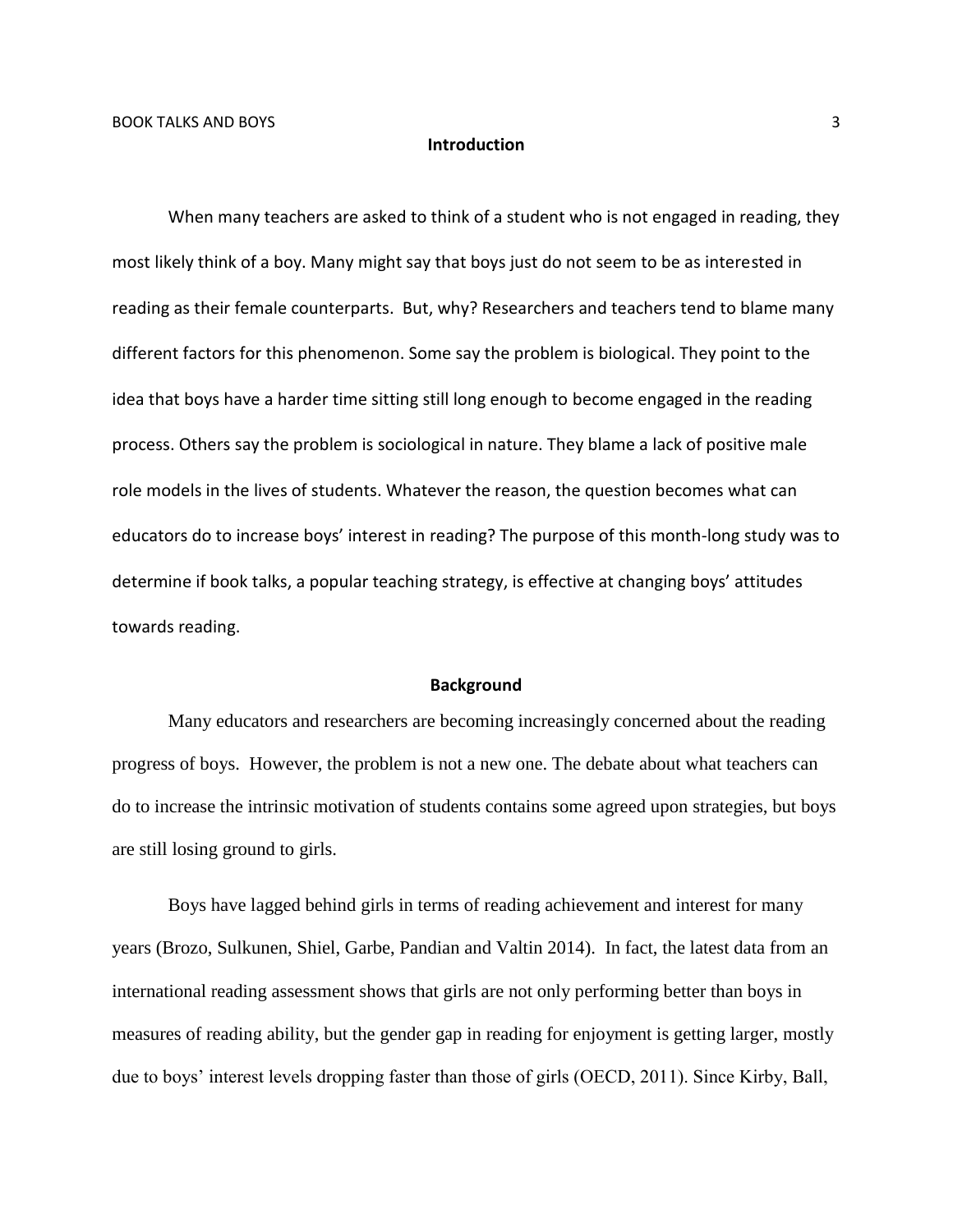### **Introduction**

When many teachers are asked to think of a student who is not engaged in reading, they most likely think of a boy. Many might say that boys just do not seem to be as interested in reading as their female counterparts. But, why? Researchers and teachers tend to blame many different factors for this phenomenon. Some say the problem is biological. They point to the idea that boys have a harder time sitting still long enough to become engaged in the reading process. Others say the problem is sociological in nature. They blame a lack of positive male role models in the lives of students. Whatever the reason, the question becomes what can educators do to increase boys' interest in reading? The purpose of this month-long study was to determine if book talks, a popular teaching strategy, is effective at changing boys' attitudes towards reading.

#### **Background**

Many educators and researchers are becoming increasingly concerned about the reading progress of boys. However, the problem is not a new one. The debate about what teachers can do to increase the intrinsic motivation of students contains some agreed upon strategies, but boys are still losing ground to girls.

Boys have lagged behind girls in terms of reading achievement and interest for many years (Brozo, Sulkunen, Shiel, Garbe, Pandian and Valtin 2014). In fact, the latest data from an international reading assessment shows that girls are not only performing better than boys in measures of reading ability, but the gender gap in reading for enjoyment is getting larger, mostly due to boys' interest levels dropping faster than those of girls (OECD, 2011). Since Kirby, Ball,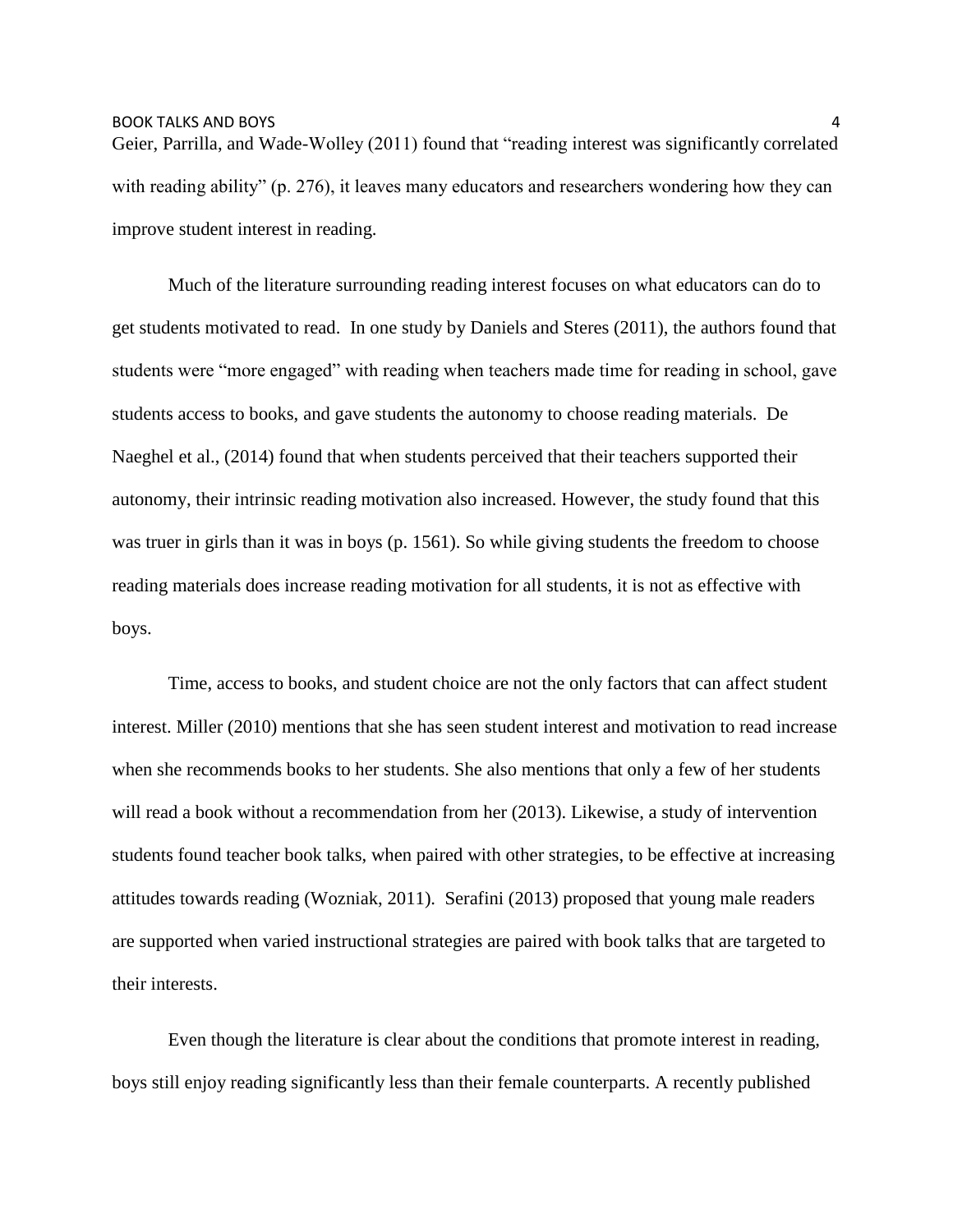Geier, Parrilla, and Wade-Wolley (2011) found that "reading interest was significantly correlated with reading ability" (p. 276), it leaves many educators and researchers wondering how they can improve student interest in reading.

Much of the literature surrounding reading interest focuses on what educators can do to get students motivated to read. In one study by Daniels and Steres (2011), the authors found that students were "more engaged" with reading when teachers made time for reading in school, gave students access to books, and gave students the autonomy to choose reading materials. De Naeghel et al., (2014) found that when students perceived that their teachers supported their autonomy, their intrinsic reading motivation also increased. However, the study found that this was truer in girls than it was in boys (p. 1561). So while giving students the freedom to choose reading materials does increase reading motivation for all students, it is not as effective with boys.

Time, access to books, and student choice are not the only factors that can affect student interest. Miller (2010) mentions that she has seen student interest and motivation to read increase when she recommends books to her students. She also mentions that only a few of her students will read a book without a recommendation from her (2013). Likewise, a study of intervention students found teacher book talks, when paired with other strategies, to be effective at increasing attitudes towards reading (Wozniak, 2011). Serafini (2013) proposed that young male readers are supported when varied instructional strategies are paired with book talks that are targeted to their interests.

Even though the literature is clear about the conditions that promote interest in reading, boys still enjoy reading significantly less than their female counterparts. A recently published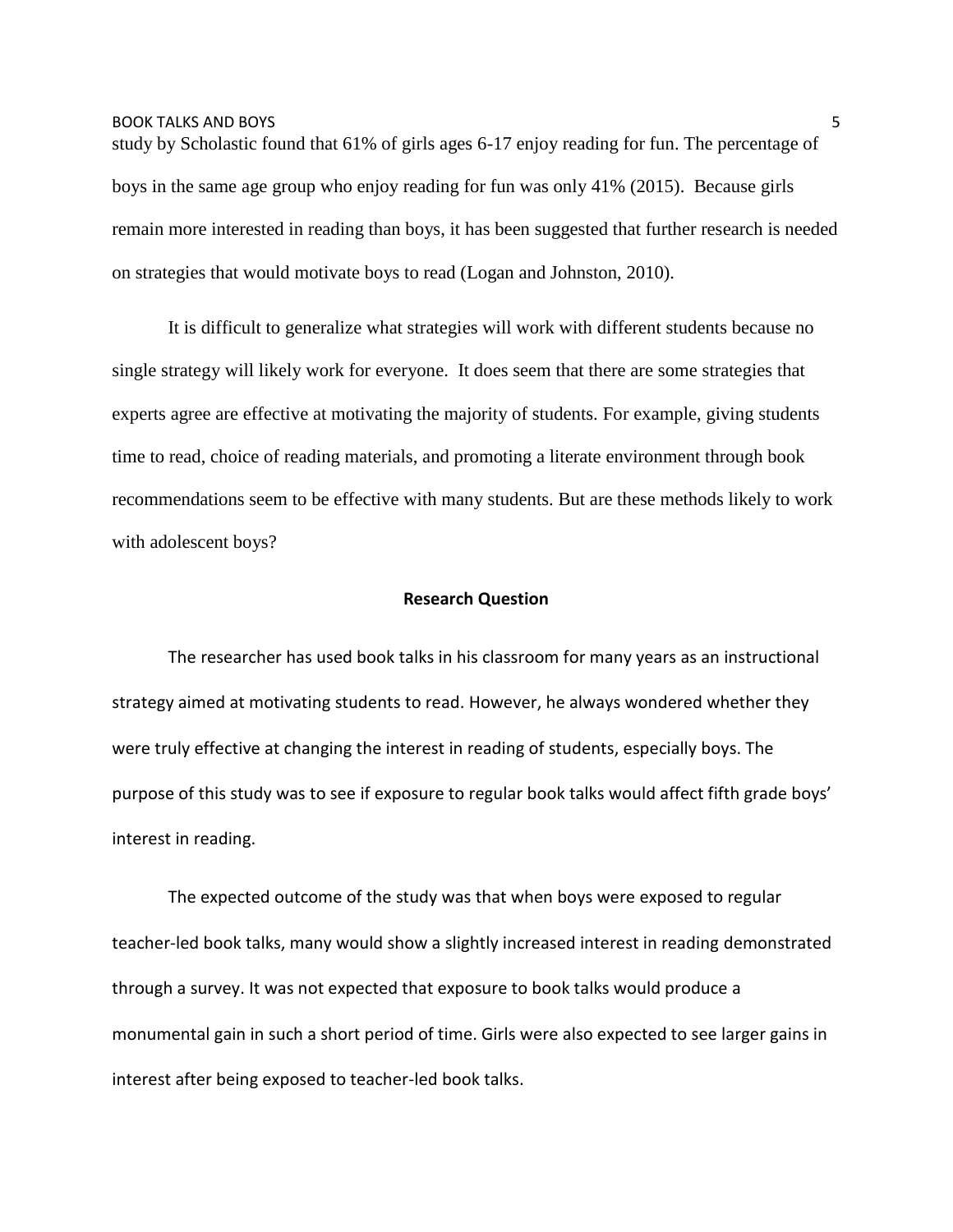study by Scholastic found that 61% of girls ages 6-17 enjoy reading for fun. The percentage of boys in the same age group who enjoy reading for fun was only 41% (2015). Because girls remain more interested in reading than boys, it has been suggested that further research is needed on strategies that would motivate boys to read (Logan and Johnston, 2010).

It is difficult to generalize what strategies will work with different students because no single strategy will likely work for everyone. It does seem that there are some strategies that experts agree are effective at motivating the majority of students. For example, giving students time to read, choice of reading materials, and promoting a literate environment through book recommendations seem to be effective with many students. But are these methods likely to work with adolescent boys?

### **Research Question**

The researcher has used book talks in his classroom for many years as an instructional strategy aimed at motivating students to read. However, he always wondered whether they were truly effective at changing the interest in reading of students, especially boys. The purpose of this study was to see if exposure to regular book talks would affect fifth grade boys' interest in reading.

The expected outcome of the study was that when boys were exposed to regular teacher-led book talks, many would show a slightly increased interest in reading demonstrated through a survey. It was not expected that exposure to book talks would produce a monumental gain in such a short period of time. Girls were also expected to see larger gains in interest after being exposed to teacher-led book talks.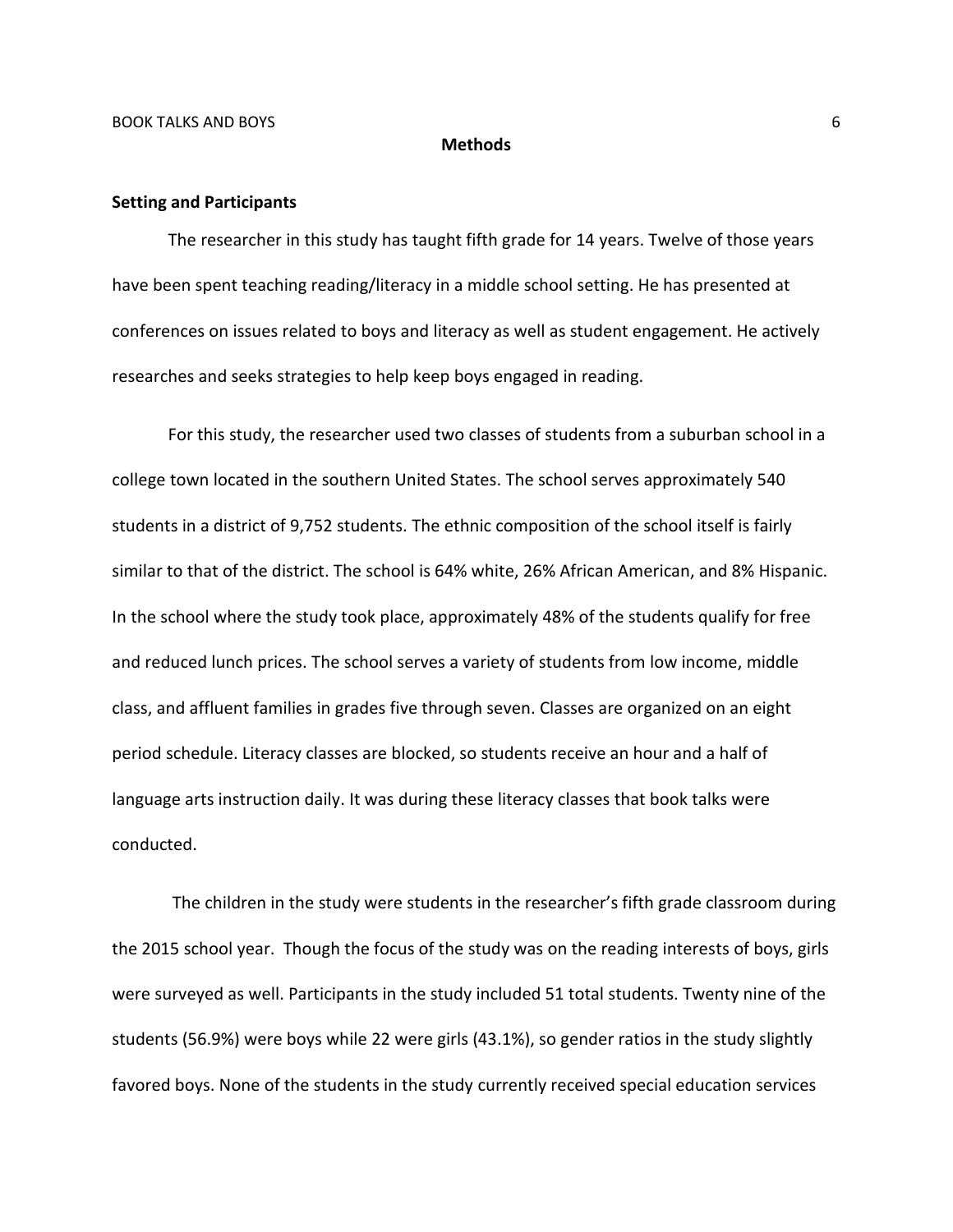#### **Methods**

#### **Setting and Participants**

The researcher in this study has taught fifth grade for 14 years. Twelve of those years have been spent teaching reading/literacy in a middle school setting. He has presented at conferences on issues related to boys and literacy as well as student engagement. He actively researches and seeks strategies to help keep boys engaged in reading.

For this study, the researcher used two classes of students from a suburban school in a college town located in the southern United States. The school serves approximately 540 students in a district of 9,752 students. The ethnic composition of the school itself is fairly similar to that of the district. The school is 64% white, 26% African American, and 8% Hispanic. In the school where the study took place, approximately 48% of the students qualify for free and reduced lunch prices. The school serves a variety of students from low income, middle class, and affluent families in grades five through seven. Classes are organized on an eight period schedule. Literacy classes are blocked, so students receive an hour and a half of language arts instruction daily. It was during these literacy classes that book talks were conducted.

The children in the study were students in the researcher's fifth grade classroom during the 2015 school year. Though the focus of the study was on the reading interests of boys, girls were surveyed as well. Participants in the study included 51 total students. Twenty nine of the students (56.9%) were boys while 22 were girls (43.1%), so gender ratios in the study slightly favored boys. None of the students in the study currently received special education services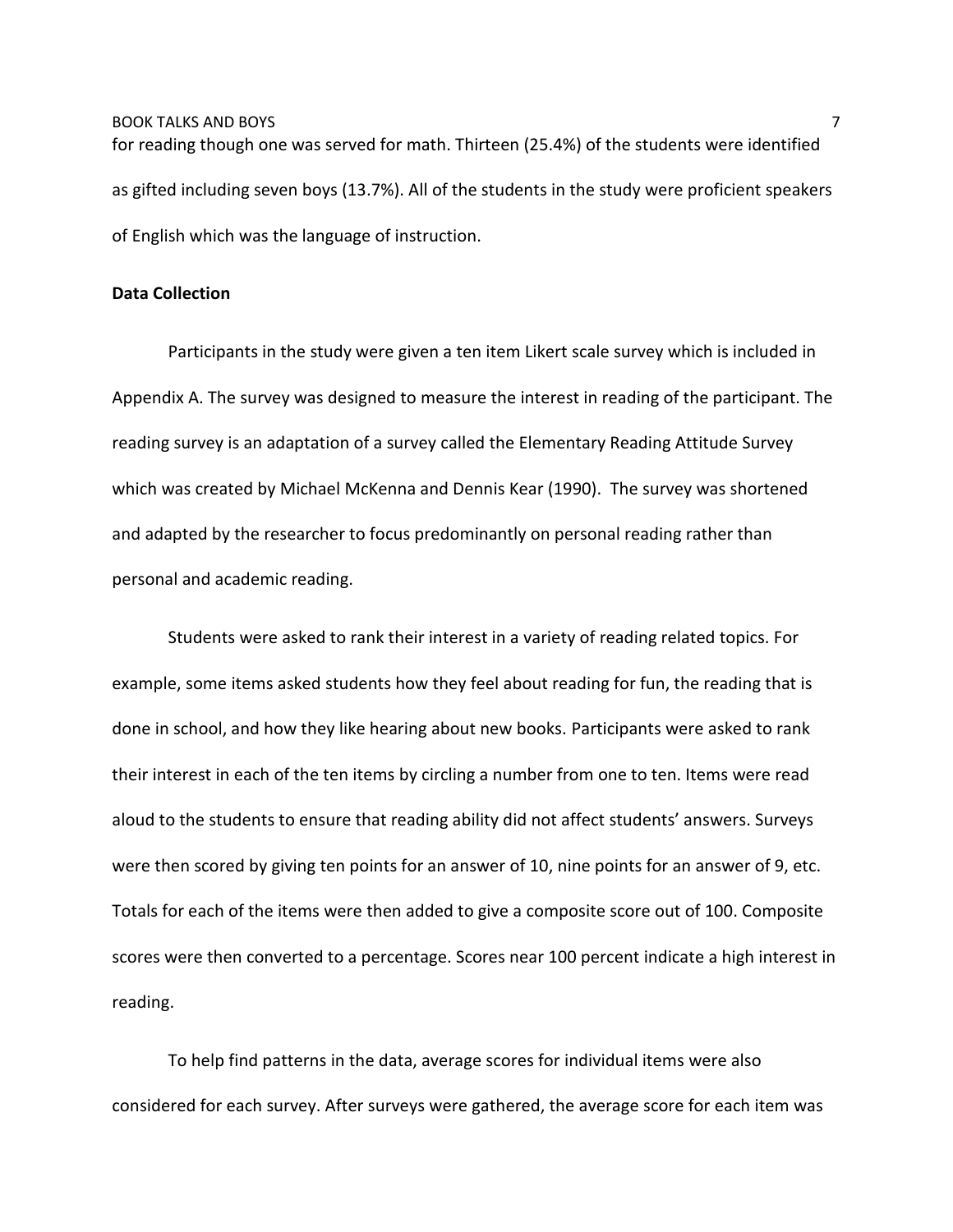BOOK TALKS AND BOYS **FOOT AND SEXUAL ASSAULT AND SEXUAL AND SEXUAL AND SEXUAL AND SEXUAL AND SEXUAL AND SEXUAL A** for reading though one was served for math. Thirteen (25.4%) of the students were identified as gifted including seven boys (13.7%). All of the students in the study were proficient speakers of English which was the language of instruction.

### **Data Collection**

Participants in the study were given a ten item Likert scale survey which is included in Appendix A. The survey was designed to measure the interest in reading of the participant. The reading survey is an adaptation of a survey called the Elementary Reading Attitude Survey which was created by Michael McKenna and Dennis Kear (1990). The survey was shortened and adapted by the researcher to focus predominantly on personal reading rather than personal and academic reading.

Students were asked to rank their interest in a variety of reading related topics. For example, some items asked students how they feel about reading for fun, the reading that is done in school, and how they like hearing about new books. Participants were asked to rank their interest in each of the ten items by circling a number from one to ten. Items were read aloud to the students to ensure that reading ability did not affect students' answers. Surveys were then scored by giving ten points for an answer of 10, nine points for an answer of 9, etc. Totals for each of the items were then added to give a composite score out of 100. Composite scores were then converted to a percentage. Scores near 100 percent indicate a high interest in reading.

To help find patterns in the data, average scores for individual items were also considered for each survey. After surveys were gathered, the average score for each item was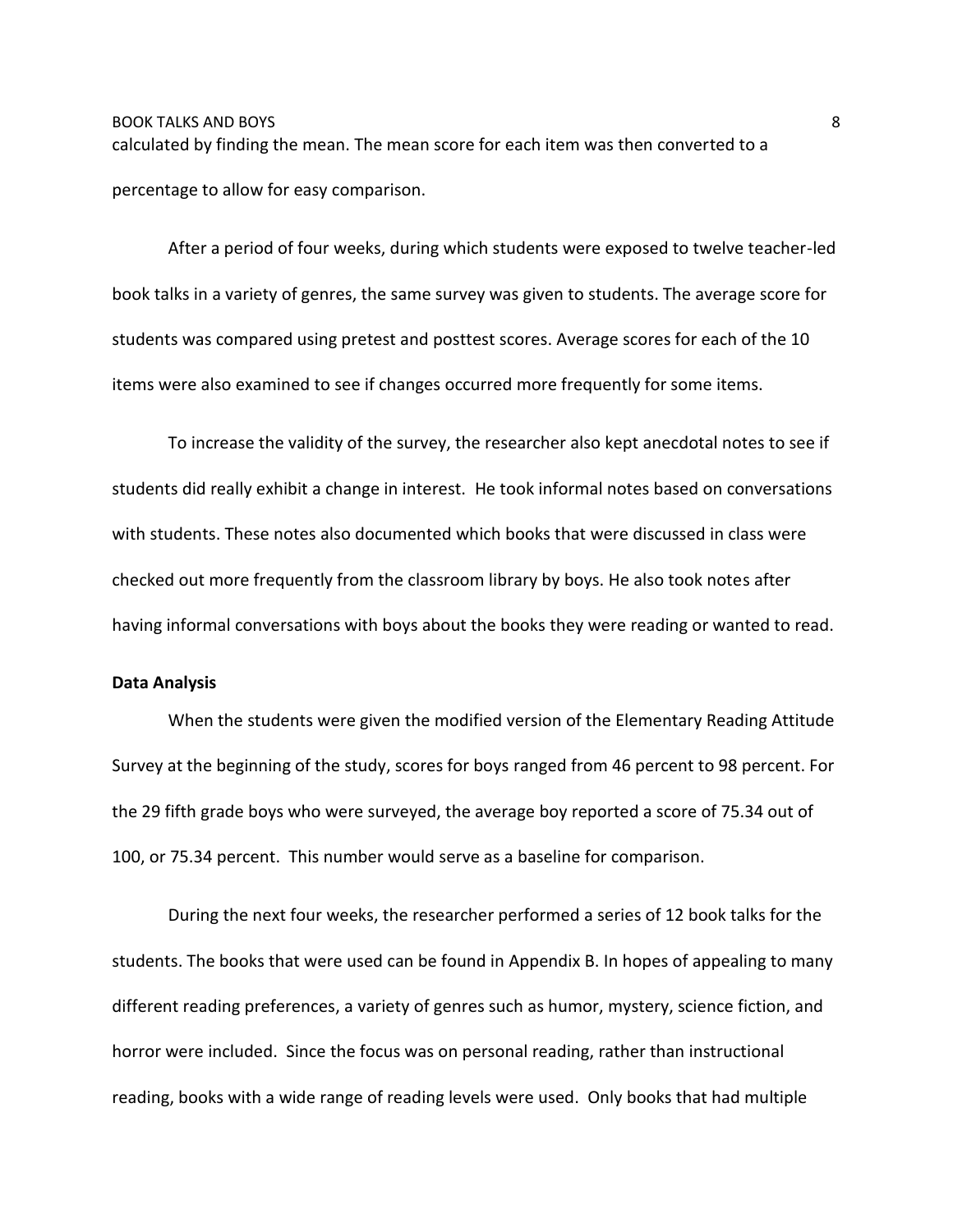# BOOK TALKS AND BOYS 8 calculated by finding the mean. The mean score for each item was then converted to a percentage to allow for easy comparison.

After a period of four weeks, during which students were exposed to twelve teacher-led book talks in a variety of genres, the same survey was given to students. The average score for students was compared using pretest and posttest scores. Average scores for each of the 10 items were also examined to see if changes occurred more frequently for some items.

To increase the validity of the survey, the researcher also kept anecdotal notes to see if students did really exhibit a change in interest. He took informal notes based on conversations with students. These notes also documented which books that were discussed in class were checked out more frequently from the classroom library by boys. He also took notes after having informal conversations with boys about the books they were reading or wanted to read.

### **Data Analysis**

When the students were given the modified version of the Elementary Reading Attitude Survey at the beginning of the study, scores for boys ranged from 46 percent to 98 percent. For the 29 fifth grade boys who were surveyed, the average boy reported a score of 75.34 out of 100, or 75.34 percent. This number would serve as a baseline for comparison.

During the next four weeks, the researcher performed a series of 12 book talks for the students. The books that were used can be found in Appendix B. In hopes of appealing to many different reading preferences, a variety of genres such as humor, mystery, science fiction, and horror were included. Since the focus was on personal reading, rather than instructional reading, books with a wide range of reading levels were used. Only books that had multiple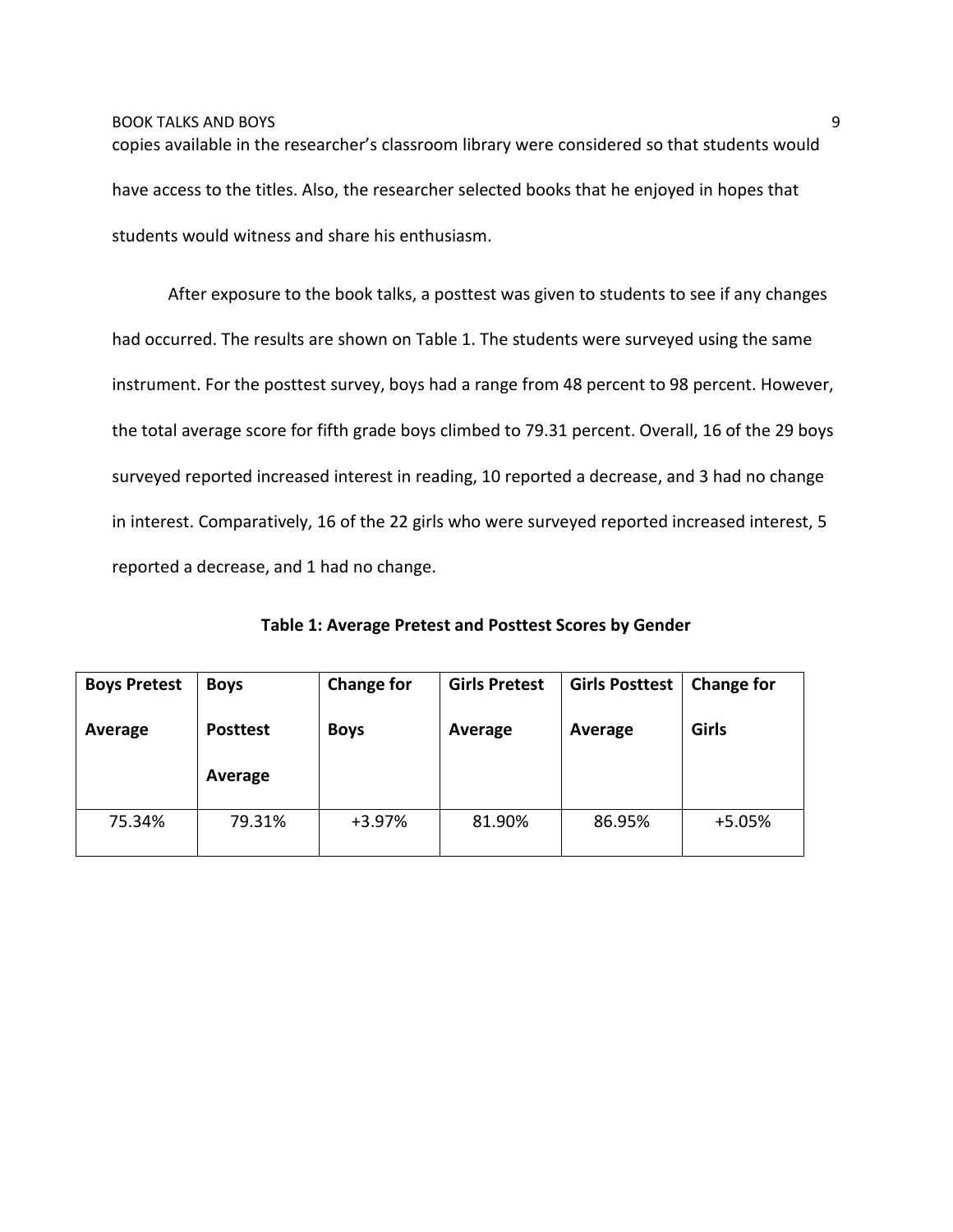copies available in the researcher's classroom library were considered so that students would have access to the titles. Also, the researcher selected books that he enjoyed in hopes that students would witness and share his enthusiasm.

After exposure to the book talks, a posttest was given to students to see if any changes had occurred. The results are shown on Table 1. The students were surveyed using the same instrument. For the posttest survey, boys had a range from 48 percent to 98 percent. However, the total average score for fifth grade boys climbed to 79.31 percent. Overall, 16 of the 29 boys surveyed reported increased interest in reading, 10 reported a decrease, and 3 had no change in interest. Comparatively, 16 of the 22 girls who were surveyed reported increased interest, 5 reported a decrease, and 1 had no change.

| <b>Boys Pretest</b> | <b>Boys</b>     | <b>Change for</b> | <b>Girls Pretest</b> | <b>Girls Posttest</b> | <b>Change for</b><br><b>Girls</b> |  |
|---------------------|-----------------|-------------------|----------------------|-----------------------|-----------------------------------|--|
| Average             | <b>Posttest</b> | <b>Boys</b>       | Average              | Average               |                                   |  |
|                     | Average         |                   |                      |                       |                                   |  |
| 75.34%              | 79.31%          | $+3.97%$          | 81.90%               | 86.95%                | $+5.05%$                          |  |

**Table 1: Average Pretest and Posttest Scores by Gender**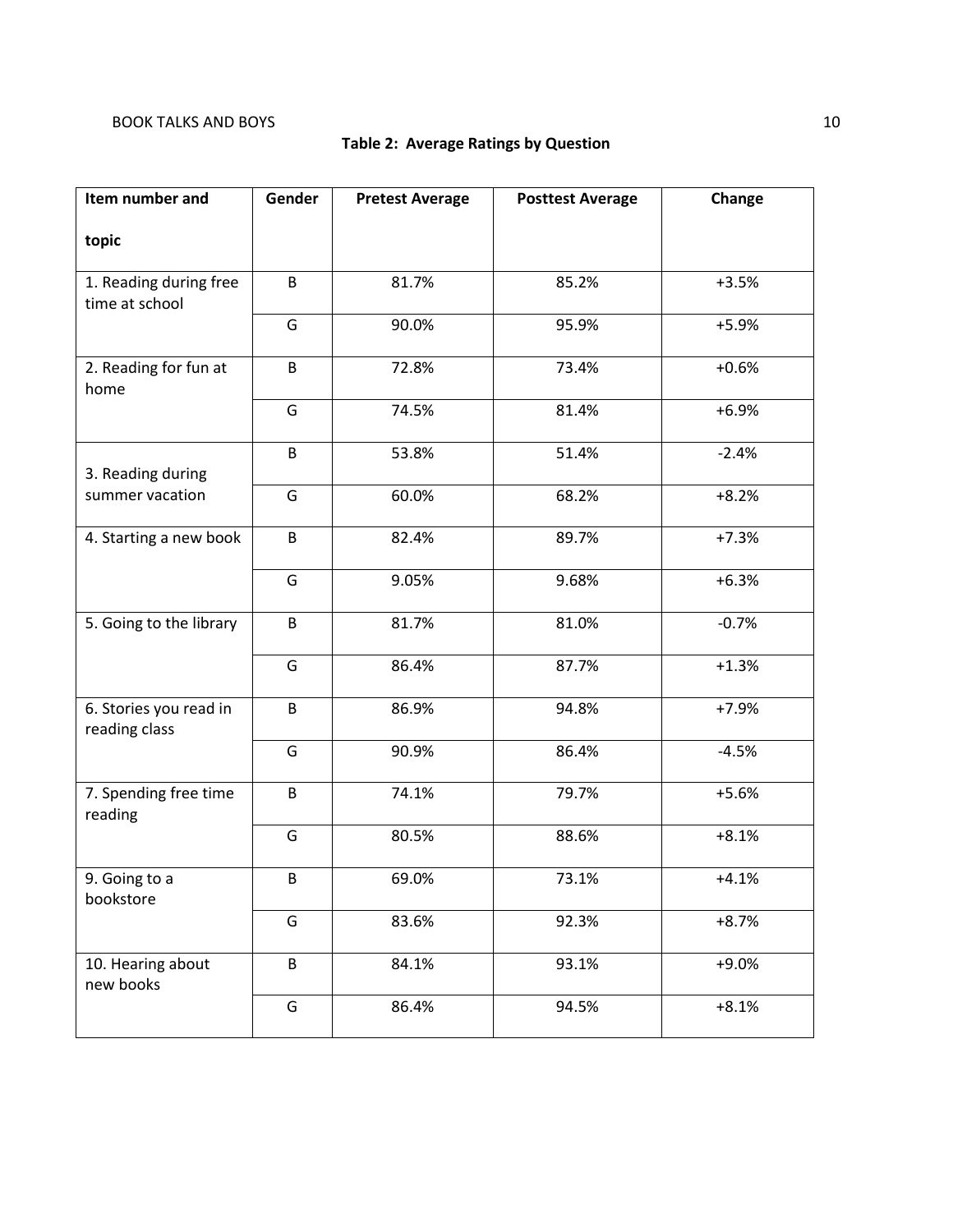## **Table 2: Average Ratings by Question**

| Item number and                          | Gender | <b>Pretest Average</b> | <b>Posttest Average</b> | Change  |
|------------------------------------------|--------|------------------------|-------------------------|---------|
| topic                                    |        |                        |                         |         |
| 1. Reading during free<br>time at school | B      | 81.7%                  | 85.2%                   | $+3.5%$ |
|                                          | G      | 90.0%                  | 95.9%                   | $+5.9%$ |
| 2. Reading for fun at<br>home            | B      | 72.8%                  | 73.4%                   | $+0.6%$ |
|                                          | G      | 74.5%                  | 81.4%                   | $+6.9%$ |
| 3. Reading during                        | B      | 53.8%                  | 51.4%                   | $-2.4%$ |
| summer vacation                          | G      | 60.0%                  | 68.2%                   | $+8.2%$ |
| 4. Starting a new book                   | B      | 82.4%                  | 89.7%                   | $+7.3%$ |
|                                          | G      | 9.05%                  | 9.68%                   | $+6.3%$ |
| 5. Going to the library                  | B      | 81.7%                  | 81.0%                   | $-0.7%$ |
|                                          | G      | 86.4%                  | 87.7%                   | $+1.3%$ |
| 6. Stories you read in<br>reading class  | B      | 86.9%                  | 94.8%                   | $+7.9%$ |
|                                          | G      | 90.9%                  | 86.4%                   | $-4.5%$ |
| 7. Spending free time<br>reading         | B      | 74.1%                  | 79.7%                   | $+5.6%$ |
|                                          | G      | 80.5%                  | 88.6%                   | $+8.1%$ |
| 9. Going to a<br>bookstore               | B      | 69.0%                  | 73.1%                   | $+4.1%$ |
|                                          | G      | 83.6%                  | 92.3%                   | $+8.7%$ |
| 10. Hearing about<br>new books           | B      | 84.1%                  | 93.1%                   | $+9.0%$ |
|                                          | G      | 86.4%                  | 94.5%                   | $+8.1%$ |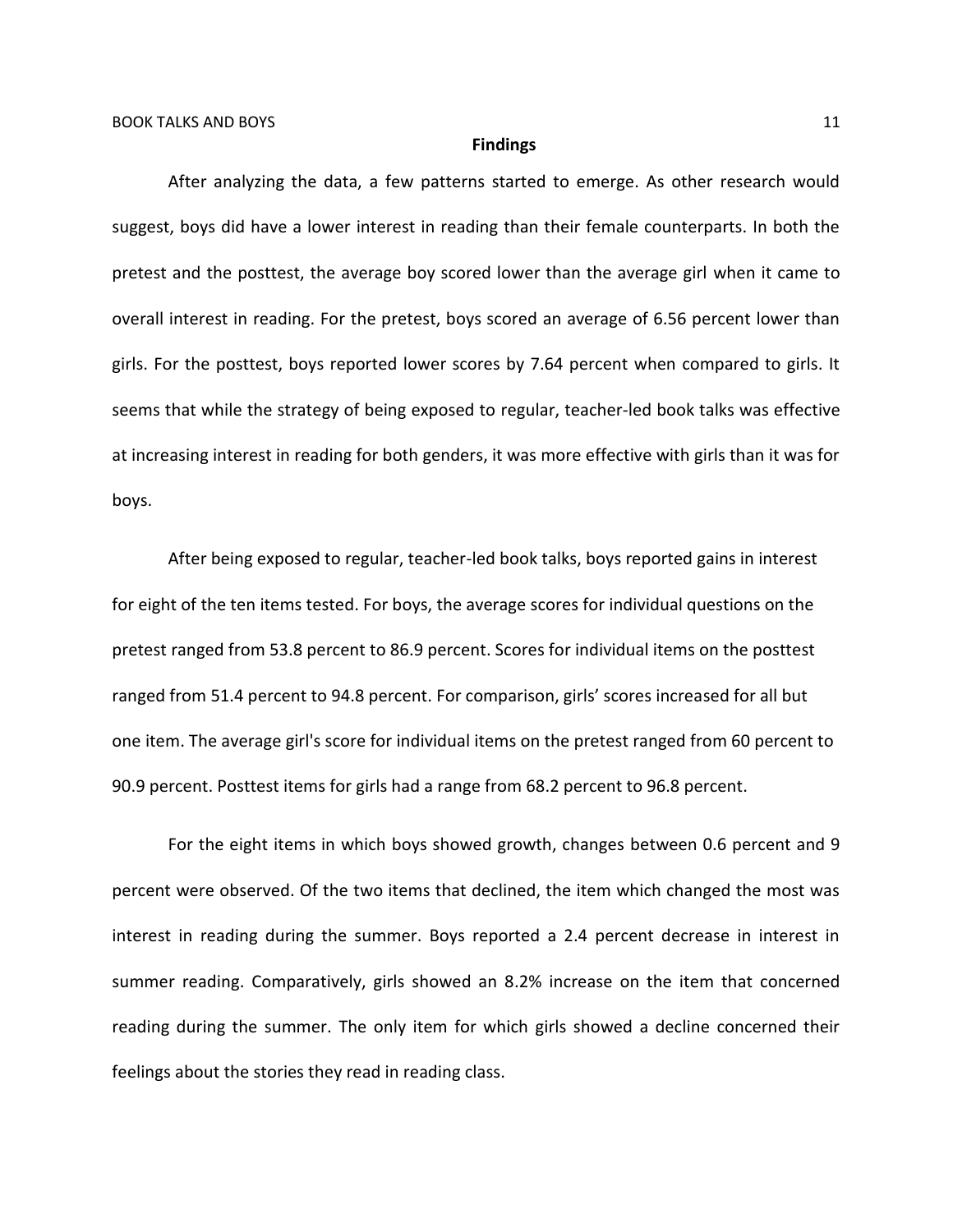#### **Findings**

After analyzing the data, a few patterns started to emerge. As other research would suggest, boys did have a lower interest in reading than their female counterparts. In both the pretest and the posttest, the average boy scored lower than the average girl when it came to overall interest in reading. For the pretest, boys scored an average of 6.56 percent lower than girls. For the posttest, boys reported lower scores by 7.64 percent when compared to girls. It seems that while the strategy of being exposed to regular, teacher-led book talks was effective at increasing interest in reading for both genders, it was more effective with girls than it was for boys.

After being exposed to regular, teacher-led book talks, boys reported gains in interest for eight of the ten items tested. For boys, the average scores for individual questions on the pretest ranged from 53.8 percent to 86.9 percent. Scores for individual items on the posttest ranged from 51.4 percent to 94.8 percent. For comparison, girls' scores increased for all but one item. The average girl's score for individual items on the pretest ranged from 60 percent to 90.9 percent. Posttest items for girls had a range from 68.2 percent to 96.8 percent.

For the eight items in which boys showed growth, changes between 0.6 percent and 9 percent were observed. Of the two items that declined, the item which changed the most was interest in reading during the summer. Boys reported a 2.4 percent decrease in interest in summer reading. Comparatively, girls showed an 8.2% increase on the item that concerned reading during the summer. The only item for which girls showed a decline concerned their feelings about the stories they read in reading class.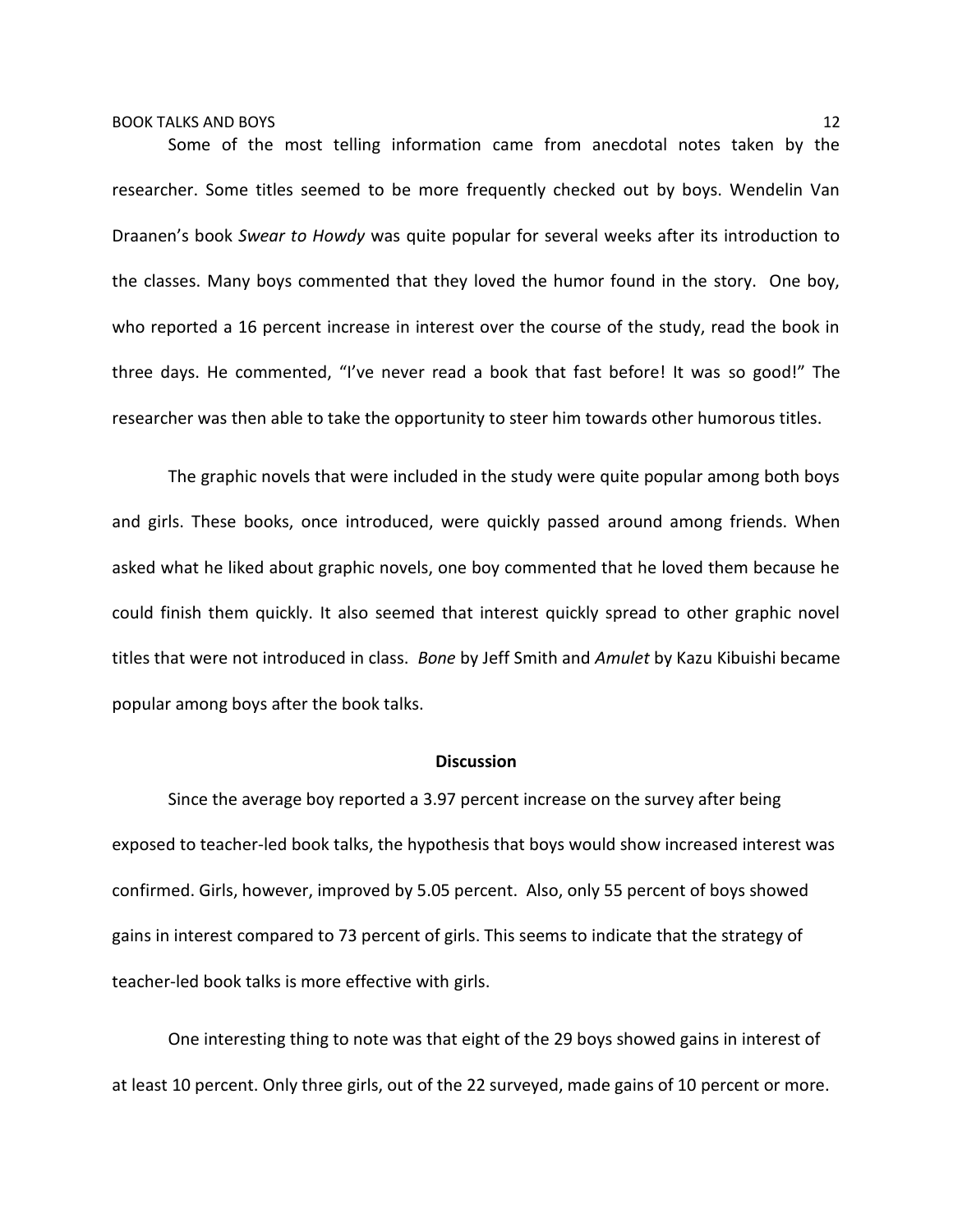### BOOK TALKS AND BOYS 22 AND 2007 12

Some of the most telling information came from anecdotal notes taken by the researcher. Some titles seemed to be more frequently checked out by boys. Wendelin Van Draanen's book *Swear to Howdy* was quite popular for several weeks after its introduction to the classes. Many boys commented that they loved the humor found in the story. One boy, who reported a 16 percent increase in interest over the course of the study, read the book in three days. He commented, "I've never read a book that fast before! It was so good!" The researcher was then able to take the opportunity to steer him towards other humorous titles.

The graphic novels that were included in the study were quite popular among both boys and girls. These books, once introduced, were quickly passed around among friends. When asked what he liked about graphic novels, one boy commented that he loved them because he could finish them quickly. It also seemed that interest quickly spread to other graphic novel titles that were not introduced in class. *Bone* by Jeff Smith and *Amulet* by Kazu Kibuishi became popular among boys after the book talks.

### **Discussion**

Since the average boy reported a 3.97 percent increase on the survey after being exposed to teacher-led book talks, the hypothesis that boys would show increased interest was confirmed. Girls, however, improved by 5.05 percent. Also, only 55 percent of boys showed gains in interest compared to 73 percent of girls. This seems to indicate that the strategy of teacher-led book talks is more effective with girls.

One interesting thing to note was that eight of the 29 boys showed gains in interest of at least 10 percent. Only three girls, out of the 22 surveyed, made gains of 10 percent or more.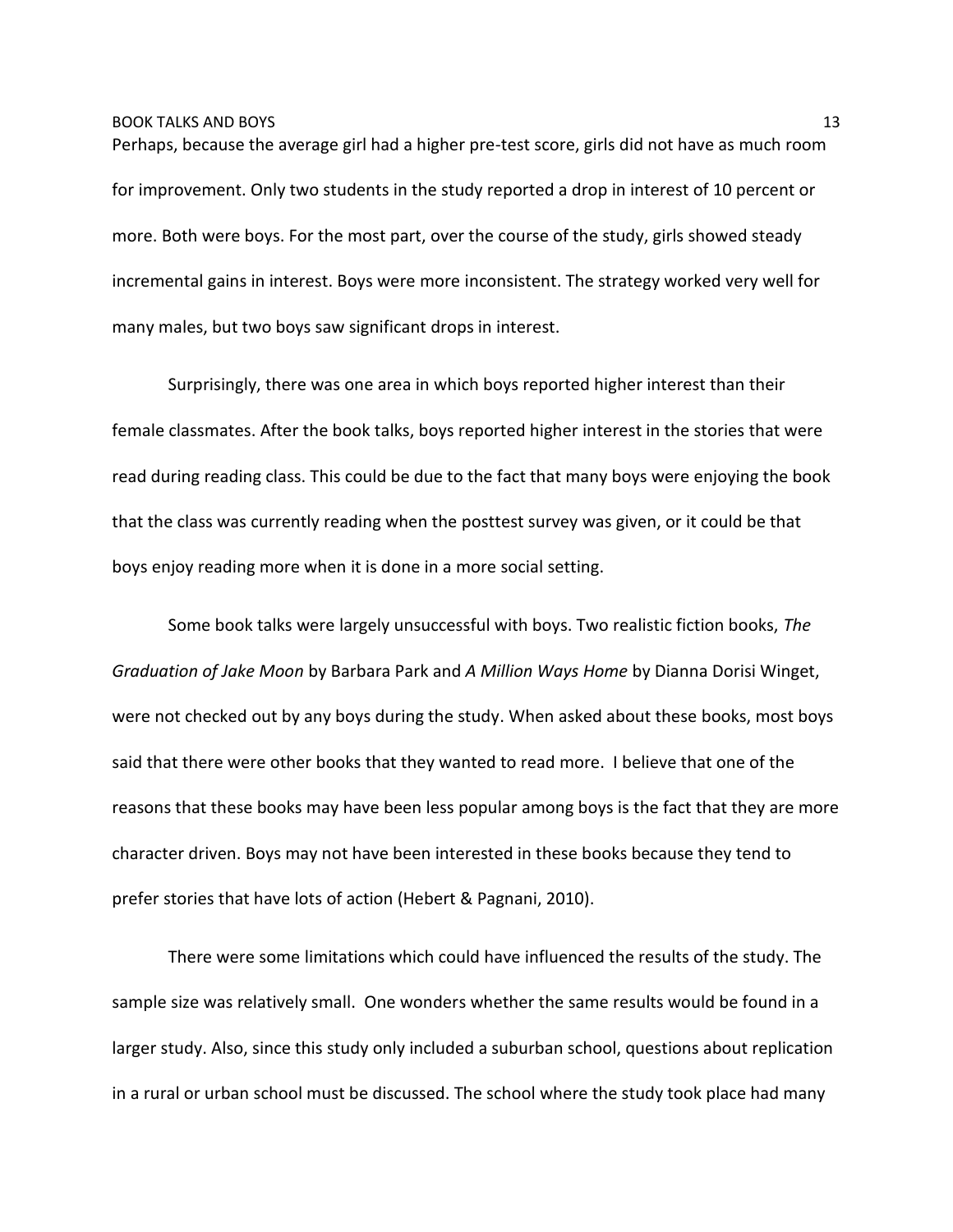Perhaps, because the average girl had a higher pre-test score, girls did not have as much room for improvement. Only two students in the study reported a drop in interest of 10 percent or more. Both were boys. For the most part, over the course of the study, girls showed steady incremental gains in interest. Boys were more inconsistent. The strategy worked very well for many males, but two boys saw significant drops in interest.

Surprisingly, there was one area in which boys reported higher interest than their female classmates. After the book talks, boys reported higher interest in the stories that were read during reading class. This could be due to the fact that many boys were enjoying the book that the class was currently reading when the posttest survey was given, or it could be that boys enjoy reading more when it is done in a more social setting.

Some book talks were largely unsuccessful with boys. Two realistic fiction books, *The Graduation of Jake Moon* by Barbara Park and *A Million Ways Home* by Dianna Dorisi Winget, were not checked out by any boys during the study. When asked about these books, most boys said that there were other books that they wanted to read more. I believe that one of the reasons that these books may have been less popular among boys is the fact that they are more character driven. Boys may not have been interested in these books because they tend to prefer stories that have lots of action (Hebert & Pagnani, 2010).

There were some limitations which could have influenced the results of the study. The sample size was relatively small. One wonders whether the same results would be found in a larger study. Also, since this study only included a suburban school, questions about replication in a rural or urban school must be discussed. The school where the study took place had many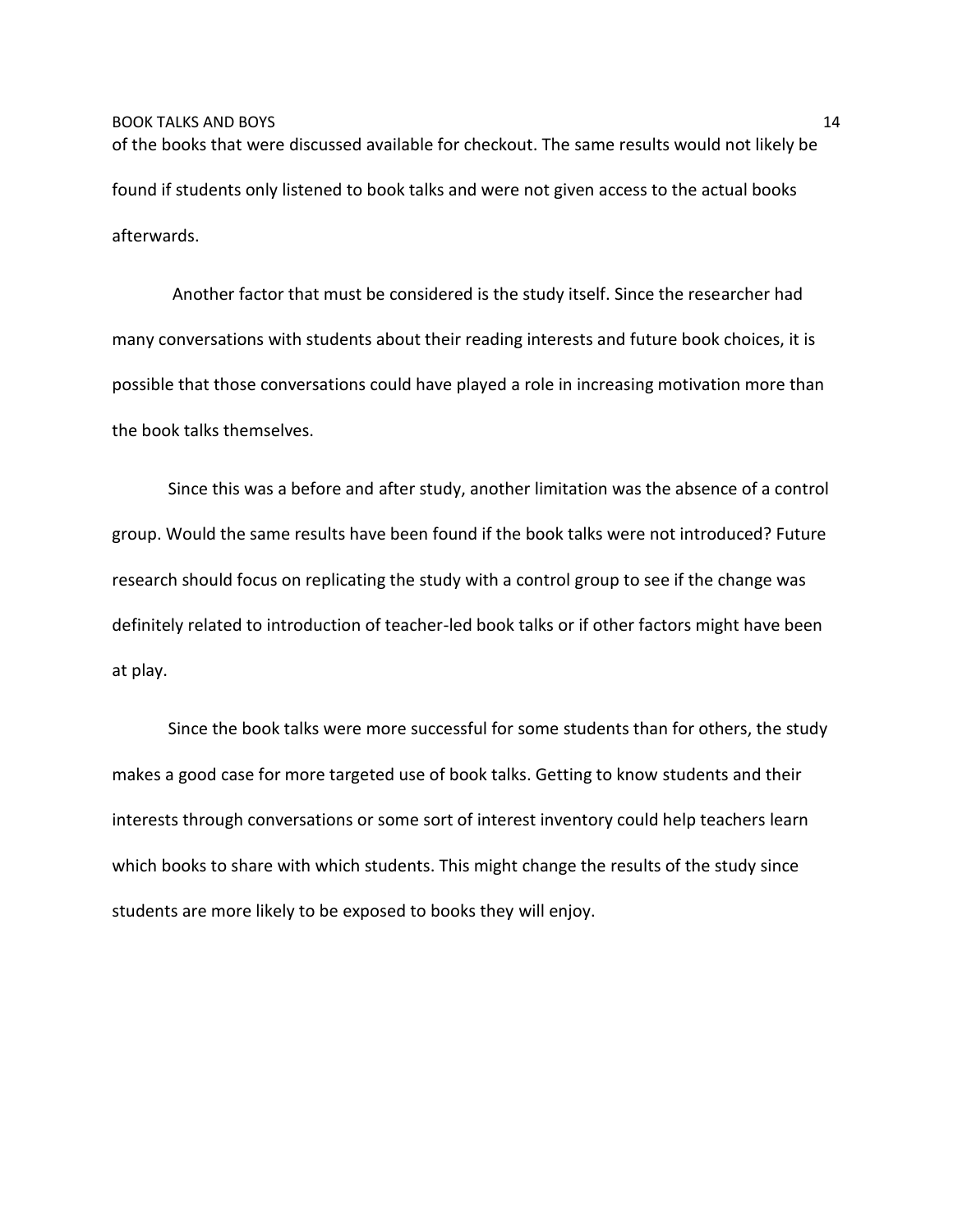of the books that were discussed available for checkout. The same results would not likely be found if students only listened to book talks and were not given access to the actual books afterwards.

Another factor that must be considered is the study itself. Since the researcher had many conversations with students about their reading interests and future book choices, it is possible that those conversations could have played a role in increasing motivation more than the book talks themselves.

Since this was a before and after study, another limitation was the absence of a control group. Would the same results have been found if the book talks were not introduced? Future research should focus on replicating the study with a control group to see if the change was definitely related to introduction of teacher-led book talks or if other factors might have been at play.

Since the book talks were more successful for some students than for others, the study makes a good case for more targeted use of book talks. Getting to know students and their interests through conversations or some sort of interest inventory could help teachers learn which books to share with which students. This might change the results of the study since students are more likely to be exposed to books they will enjoy.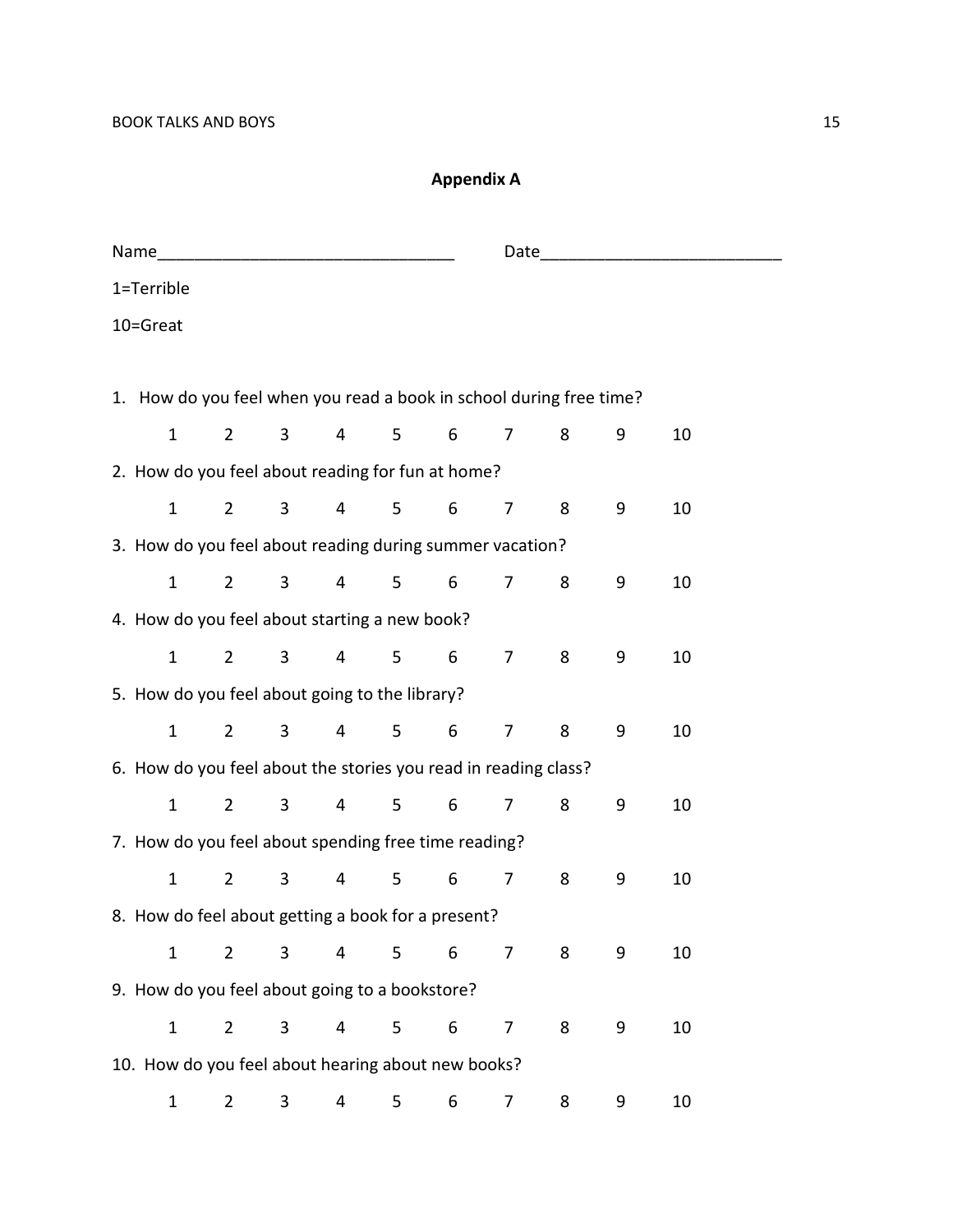# **Appendix A**

|                                                                     |                                                      |                |                         |   |   | Date and the contract of the contract of the contract of the contract of the contract of the contract of the contract of the contract of the contract of the contract of the contract of the contract of the contract of the c |   |   |    |  |
|---------------------------------------------------------------------|------------------------------------------------------|----------------|-------------------------|---|---|--------------------------------------------------------------------------------------------------------------------------------------------------------------------------------------------------------------------------------|---|---|----|--|
| 1=Terrible                                                          |                                                      |                |                         |   |   |                                                                                                                                                                                                                                |   |   |    |  |
| 10=Great                                                            |                                                      |                |                         |   |   |                                                                                                                                                                                                                                |   |   |    |  |
|                                                                     |                                                      |                |                         |   |   |                                                                                                                                                                                                                                |   |   |    |  |
| 1. How do you feel when you read a book in school during free time? |                                                      |                |                         |   |   |                                                                                                                                                                                                                                |   |   |    |  |
| $\mathbf{1}$                                                        | $2^{\circ}$                                          | 3              | 4                       | 5 | 6 | $\overline{7}$                                                                                                                                                                                                                 | 8 | 9 | 10 |  |
| 2. How do you feel about reading for fun at home?                   |                                                      |                |                         |   |   |                                                                                                                                                                                                                                |   |   |    |  |
| $\mathbf{1}$                                                        | $2^{\circ}$                                          | $\mathbf{3}$   | $\overline{4}$          | 5 | 6 | $\overline{7}$                                                                                                                                                                                                                 | 8 | 9 | 10 |  |
| 3. How do you feel about reading during summer vacation?            |                                                      |                |                         |   |   |                                                                                                                                                                                                                                |   |   |    |  |
| $\mathbf{1}$                                                        | $2^{\circ}$                                          | $\mathbf{3}$   | $\overline{\mathbf{4}}$ | 5 | 6 | $\overline{7}$                                                                                                                                                                                                                 | 8 | 9 | 10 |  |
| 4. How do you feel about starting a new book?                       |                                                      |                |                         |   |   |                                                                                                                                                                                                                                |   |   |    |  |
| $\mathbf{1}$                                                        | $\overline{2}$                                       | $\mathbf{3}$   | $\overline{4}$          | 5 | 6 | $\overline{7}$                                                                                                                                                                                                                 | 8 | 9 | 10 |  |
| 5. How do you feel about going to the library?                      |                                                      |                |                         |   |   |                                                                                                                                                                                                                                |   |   |    |  |
| $\mathbf{1}$                                                        | $\overline{2}$                                       | $\overline{3}$ | $\overline{4}$          | 5 | 6 | $\overline{7}$                                                                                                                                                                                                                 | 8 | 9 | 10 |  |
| 6. How do you feel about the stories you read in reading class?     |                                                      |                |                         |   |   |                                                                                                                                                                                                                                |   |   |    |  |
| $\mathbf{1}$                                                        | $\overline{2}$                                       | 3              | $\overline{4}$          | 5 | 6 | 7                                                                                                                                                                                                                              | 8 | 9 | 10 |  |
|                                                                     | 7. How do you feel about spending free time reading? |                |                         |   |   |                                                                                                                                                                                                                                |   |   |    |  |
| $\mathbf{1}$                                                        | $\overline{2}$                                       | 3              | 4                       | 5 | 6 | $\overline{7}$                                                                                                                                                                                                                 | 8 | 9 | 10 |  |
| 8. How do feel about getting a book for a present?                  |                                                      |                |                         |   |   |                                                                                                                                                                                                                                |   |   |    |  |
| $\mathbf{1}$                                                        | $\overline{2}$                                       | 3              | 4                       | 5 | 6 | 7                                                                                                                                                                                                                              | 8 | 9 | 10 |  |
|                                                                     | 9. How do you feel about going to a bookstore?       |                |                         |   |   |                                                                                                                                                                                                                                |   |   |    |  |
| $\mathbf{1}$                                                        | $\overline{2}$                                       | 3              | 4                       | 5 | 6 | 7                                                                                                                                                                                                                              | 8 | 9 | 10 |  |
|                                                                     | 10. How do you feel about hearing about new books?   |                |                         |   |   |                                                                                                                                                                                                                                |   |   |    |  |
| $\mathbf{1}$                                                        | $\overline{2}$                                       | 3              | 4                       | 5 | 6 | 7                                                                                                                                                                                                                              | 8 | 9 | 10 |  |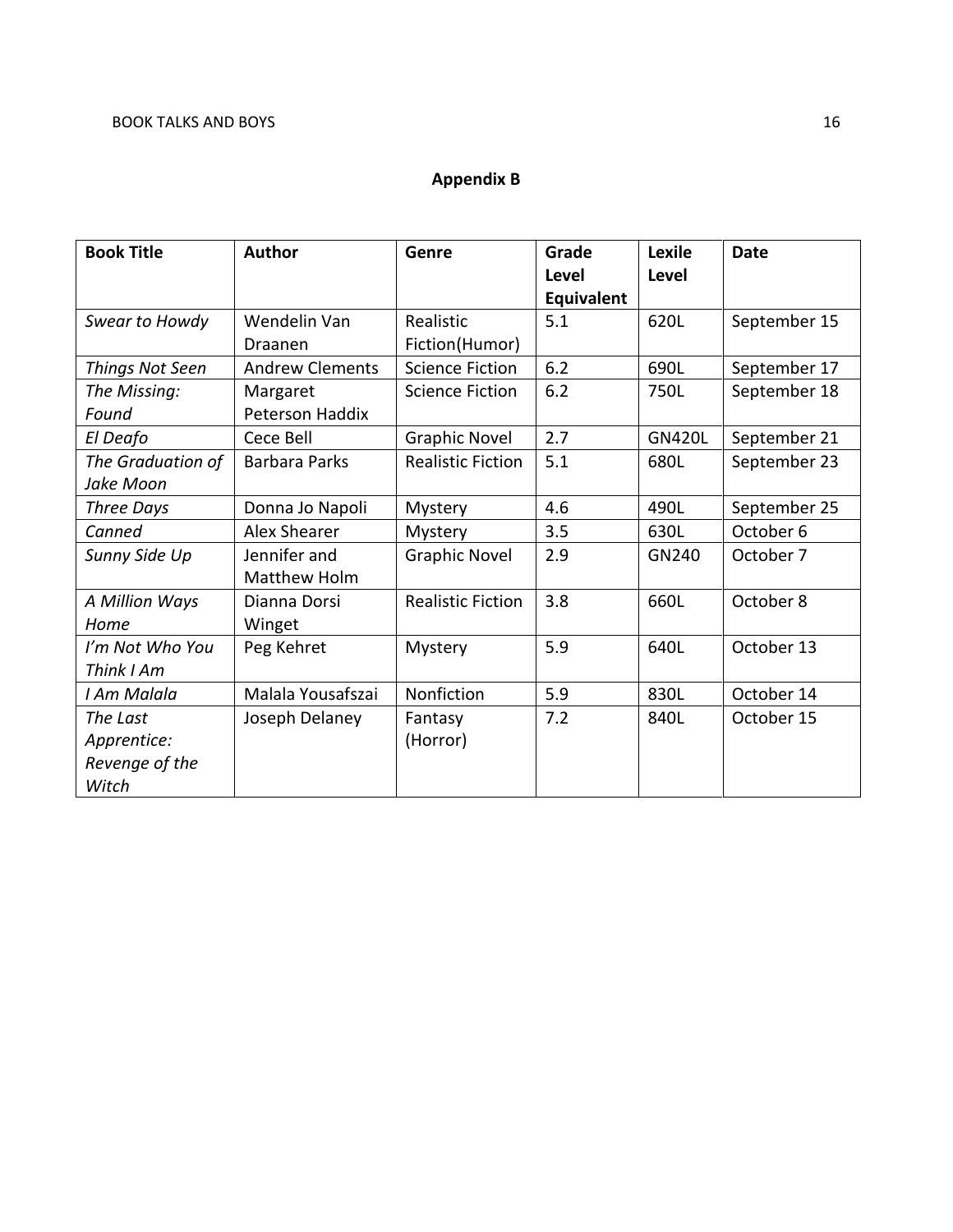# **Appendix B**

| <b>Book Title</b> | <b>Author</b>          | Genre                    | Grade      | <b>Lexile</b> | <b>Date</b>  |
|-------------------|------------------------|--------------------------|------------|---------------|--------------|
|                   |                        |                          | Level      | <b>Level</b>  |              |
|                   |                        |                          | Equivalent |               |              |
| Swear to Howdy    | Wendelin Van           | Realistic                | 5.1        | 620L          | September 15 |
|                   | Draanen                | Fiction(Humor)           |            |               |              |
| Things Not Seen   | <b>Andrew Clements</b> | <b>Science Fiction</b>   | 6.2        | 690L          | September 17 |
| The Missing:      | Margaret               | <b>Science Fiction</b>   | 6.2        | 750L          | September 18 |
| Found             | Peterson Haddix        |                          |            |               |              |
| El Deafo          | Cece Bell              | <b>Graphic Novel</b>     | 2.7        | <b>GN420L</b> | September 21 |
| The Graduation of | <b>Barbara Parks</b>   | <b>Realistic Fiction</b> | 5.1        | 680L          | September 23 |
| Jake Moon         |                        |                          |            |               |              |
| <b>Three Days</b> | Donna Jo Napoli        | Mystery                  | 4.6        | 490L          | September 25 |
| Canned            | <b>Alex Shearer</b>    | Mystery                  | 3.5        | 630L          | October 6    |
| Sunny Side Up     | Jennifer and           | <b>Graphic Novel</b>     | 2.9        | GN240         | October 7    |
|                   | Matthew Holm           |                          |            |               |              |
| A Million Ways    | Dianna Dorsi           | <b>Realistic Fiction</b> | 3.8        | 660L          | October 8    |
| Home              | Winget                 |                          |            |               |              |
| I'm Not Who You   | Peg Kehret             | Mystery                  | 5.9        | 640L          | October 13   |
| Think I Am        |                        |                          |            |               |              |
| I Am Malala       | Malala Yousafszai      | Nonfiction               | 5.9        | 830L          | October 14   |
| The Last          | Joseph Delaney         | Fantasy                  | 7.2        | 840L          | October 15   |
| Apprentice:       |                        | (Horror)                 |            |               |              |
| Revenge of the    |                        |                          |            |               |              |
| Witch             |                        |                          |            |               |              |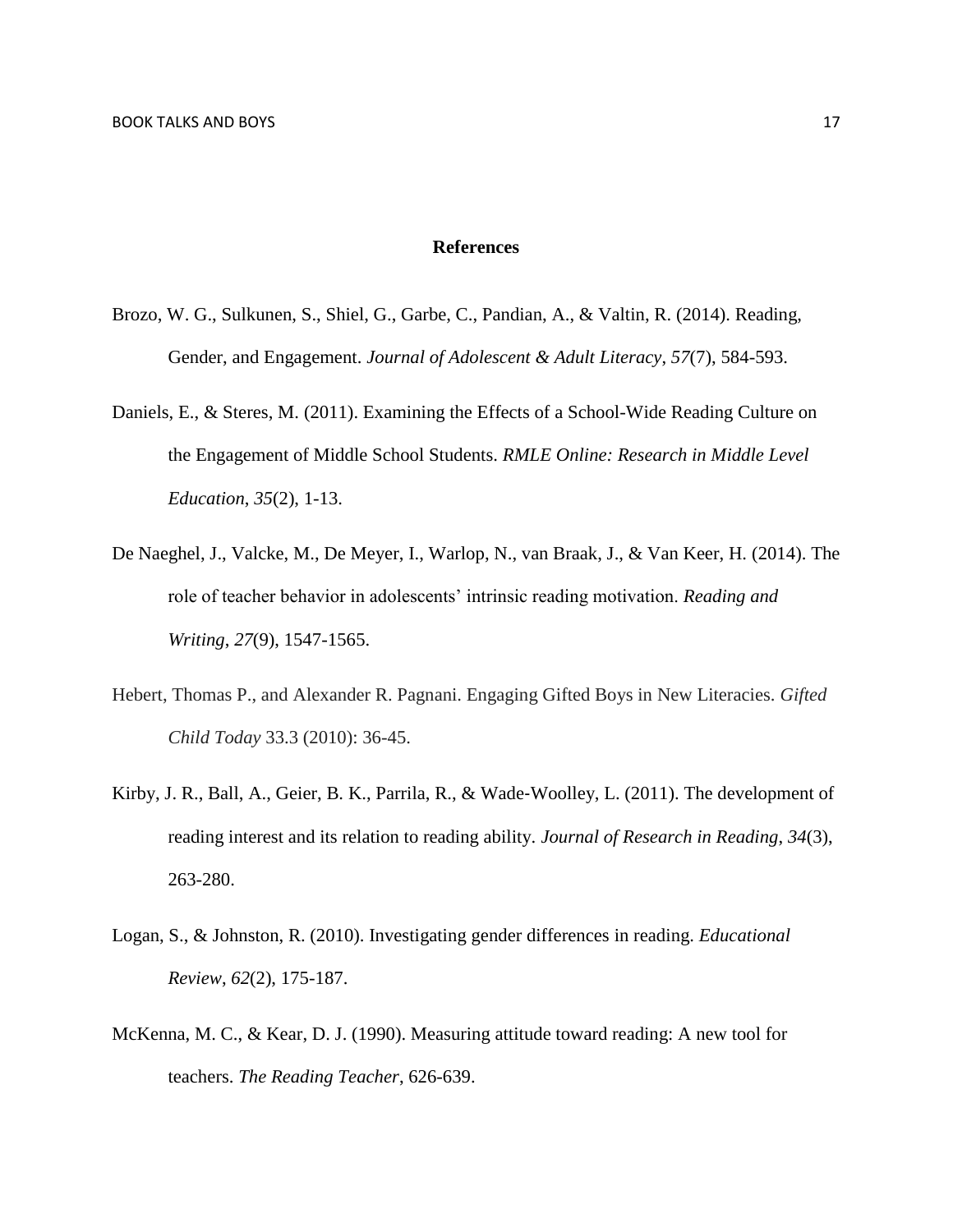### **References**

- Brozo, W. G., Sulkunen, S., Shiel, G., Garbe, C., Pandian, A., & Valtin, R. (2014). Reading, Gender, and Engagement. *Journal of Adolescent & Adult Literacy*, *57*(7), 584-593.
- Daniels, E., & Steres, M. (2011). Examining the Effects of a School-Wide Reading Culture on the Engagement of Middle School Students. *RMLE Online: Research in Middle Level Education*, *35*(2), 1-13.
- De Naeghel, J., Valcke, M., De Meyer, I., Warlop, N., van Braak, J., & Van Keer, H. (2014). The role of teacher behavior in adolescents' intrinsic reading motivation. *Reading and Writing*, *27*(9), 1547-1565.
- Hebert, Thomas P., and Alexander R. Pagnani. Engaging Gifted Boys in New Literacies. *Gifted Child Today* 33.3 (2010): 36-45.
- Kirby, J. R., Ball, A., Geier, B. K., Parrila, R., & Wade‐Woolley, L. (2011). The development of reading interest and its relation to reading ability. *Journal of Research in Reading*, *34*(3), 263-280.
- Logan, S., & Johnston, R. (2010). Investigating gender differences in reading. *Educational Review*, *62*(2), 175-187.
- McKenna, M. C., & Kear, D. J. (1990). Measuring attitude toward reading: A new tool for teachers. *The Reading Teacher*, 626-639.